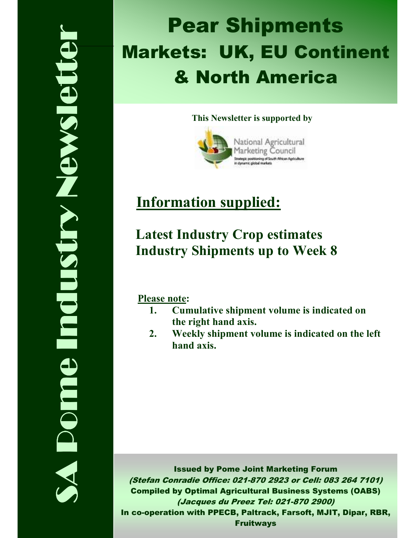# SA Pome Industry Newsletter **TIGATE STAN STRUDU** Dome

# Pear Shipments Markets: UK, EU Continent & North America

## This Newsletter is supported by



# Information supplied:

# Latest Industry Crop estimates Industry Shipments up to Week 8

Please note:

- 1. Cumulative shipment volume is indicated on the right hand axis.
- 2. Weekly shipment volume is indicated on the left hand axis.

Issued by Pome Joint Marketing Forum (Stefan Conradie Office: 021-870 2923 or Cell: 083 264 7101) Compiled by Optimal Agricultural Business Systems (OABS) (Jacques du Preez Tel: 021-870 2900) In co-operation with PPECB, Paltrack, Farsoft, MJIT, Dipar, RBR, Fruitways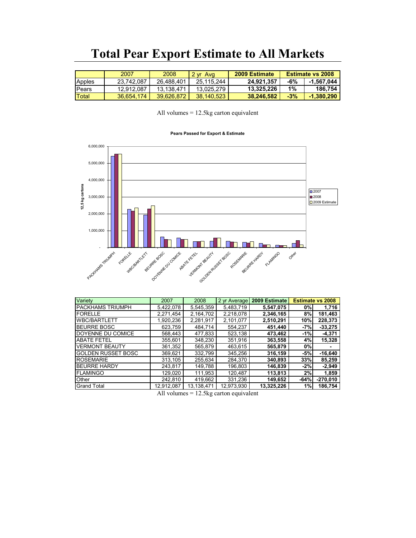# Total Pear Export Estimate to All Markets

|                | 2007       | 2008       | $2 \text{ yr}$<br>Ava | 2009 Estimate |       | <b>Estimate vs 2008</b> |
|----------------|------------|------------|-----------------------|---------------|-------|-------------------------|
| Apples         | 23.742.087 | 26.488.401 | 25.115.244            | 24.921.357    | -6%   | -1.567.044              |
| <b>I</b> Pears | 12.912.087 | 13.138.471 | 13.025.279            | 13.325.226    | 1%    | 186.754                 |
| Total          | 36.654.174 | 39.626.872 | 38.140.523            | 38.246.582    | $-3%$ | $-1,380,290$            |

All volumes = 12.5kg carton equivalent

### Pears Passed for Export & Estimate



| Variety                   | 2007       | 2008       | 2 yr Average | 2009 Estimate |        | <b>Estimate vs 2008</b> |
|---------------------------|------------|------------|--------------|---------------|--------|-------------------------|
| PACKHAMS TRIUMPH          | 5,422,078  | 5,545,359  | 5,483,719    | 5,547,075     | 0%     | 1.716                   |
| <b>FORELLE</b>            | 2,271,454  | 2,164,702  | 2,218,078    | 2,346,165     | 8%     | 181,463                 |
| <b>WBC/BARTLETT</b>       | 1,920,236  | 2,281,917  | 2,101,077    | 2,510,291     | 10%    | 228,373                 |
| <b>BEURRE BOSC</b>        | 623,759    | 484.714    | 554,237      | 451,440       | $-7%$  | $-33,275$               |
| DOYENNE DU COMICE         | 568,443    | 477,833    | 523.138      | 473,462       | $-1%$  | $-4,371$                |
| <b>ABATE FETEL</b>        | 355,601    | 348,230    | 351,916      | 363,558       | 4%     | 15,328                  |
| <b>VERMONT BEAUTY</b>     | 361,352    | 565,879    | 463,615      | 565,879       | 0%     |                         |
| <b>GOLDEN RUSSET BOSC</b> | 369,621    | 332.799    | 345,256      | 316,159       | $-5%$  | $-16,640$               |
| <b>ROSEMARIE</b>          | 313,105    | 255.634    | 284.370      | 340,893       | 33%    | 85,259                  |
| <b>BEURRE HARDY</b>       | 243,817    | 149,788    | 196.803      | 146,839       | $-2%$  | $-2,949$                |
| <b>FLAMINGO</b>           | 129,020    | 111,953    | 120,487      | 113,813       | 2%     | 1,859                   |
| Other                     | 242,810    | 419,662    | 331,236      | 149,652       | $-64%$ | $-270,010$              |
| <b>Grand Total</b>        | 12,912,087 | 13.138.471 | 12.973.930   | 13.325.226    | 1%     | 186.754                 |

All volumes = 12.5kg carton equivalent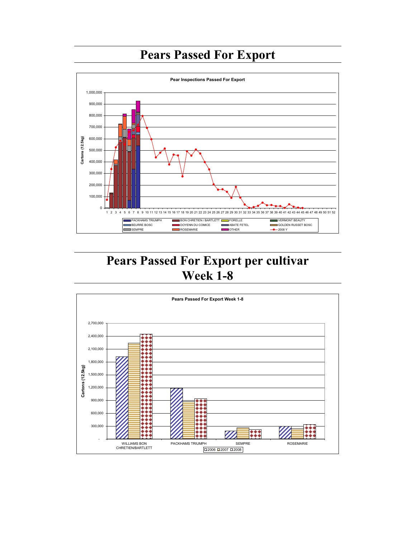# Pears Passed For Export



# Pears Passed For Export per cultivar Week 1-8

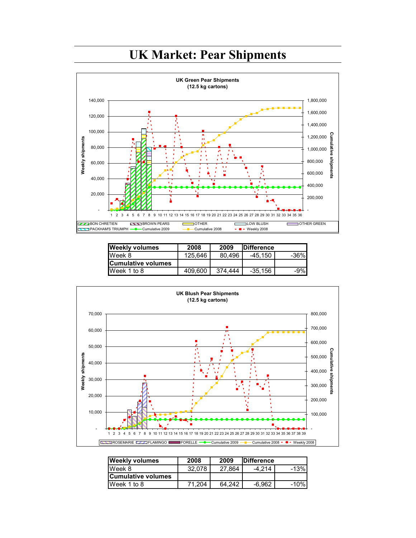

| <b>Weekly volumes</b>     | 2008    | 2009    | <b>IDifference</b> |        |
|---------------------------|---------|---------|--------------------|--------|
| Week 8                    | 125.646 | 80.496  | -45.150            | $-36%$ |
| <b>Cumulative volumes</b> |         |         |                    |        |
| Week 1 to 8               | 409.600 | 374.444 | $-35,156$          | $-9%$  |



| <b>Weekly volumes</b> | 2008   | 2009   | <b>IDifference</b> |        |
|-----------------------|--------|--------|--------------------|--------|
| Week 8                | 32.078 | 27.864 | $-4.214$           | $-13%$ |
| lCumulative volumes   |        |        |                    |        |
| Week 1 to 8           | 71.204 | 64.242 | $-6.962$           | $-10%$ |

# UK Market: Pear Shipments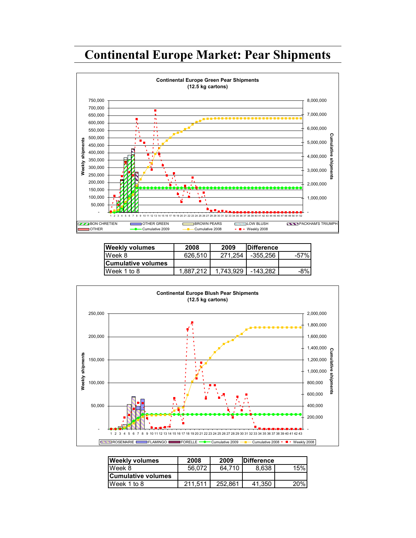# Continental Europe Market: Pear Shipments



| <b>Weekly volumes</b>     | 2008      | 2009      | <b>IDifference</b> |      |
|---------------------------|-----------|-----------|--------------------|------|
| Week 8                    | 626.510   | 271.254   | -355.256           | -57% |
| <b>Cumulative volumes</b> |           |           |                    |      |
| IWeek 1 to 8              | 1.887.212 | 1.743.929 | -143.282           | -8%  |



| <b>Weekly volumes</b> | 2008    | 2009    | <b>IDifference</b> |     |
|-----------------------|---------|---------|--------------------|-----|
| Week 8                | 56.072  | 64.710  | 8.638              | 15% |
| lCumulative volumes   |         |         |                    |     |
| Week 1 to 8           | 211.511 | 252.861 | 41.350             | 20% |